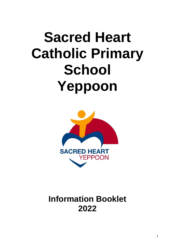# **Sacred Heart Catholic Primary School Yeppoon**



**Information Booklet 2022**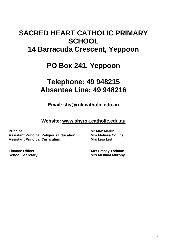# **SACRED HEART CATHOLIC PRIMARY SCHOOL 14 Barracuda Crescent, Yeppoon**

# **PO Box 241, Yeppoon**

# **Telephone: 49 948215 Absentee Line: 49 948216**

**Email: [shy@rok.catholic.edu.au](mailto:shy@rok.catholic.edu.au)**

**Website: [www.shyrok.catholic.edu.au](http://www.shyrok.catholic.edu.au/)**

**Principal: Mr Max Martin Assistant Principal Religious Education: Mrs Melissa Collins Assistant Principal Curriculum: Mrs Lisa List**

**Finance Officer:** Mrs Stacey Todman **School Secretary: Mrs Melinda Murphy**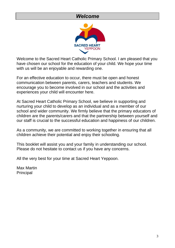### *Welcome*



Welcome to the Sacred Heart Catholic Primary School. I am pleased that you have chosen our school for the education of your child. We hope your time with us will be an enjoyable and rewarding one.

For an effective education to occur, there must be open and honest communication between parents, carers, teachers and students. We encourage you to become involved in our school and the activities and experiences your child will encounter here.

At Sacred Heart Catholic Primary School, we believe in supporting and nurturing your child to develop as an individual and as a member of our school and wider community. We firmly believe that the primary educators of children are the parents/carers and that the partnership between yourself and our staff is crucial to the successful education and happiness of our children.

As a community, we are committed to working together in ensuring that all children achieve their potential and enjoy their schooling.

This booklet will assist you and your family in understanding our school. Please do not hesitate to contact us if you have any concerns.

All the very best for your time at Sacred Heart Yeppoon.

Max Martin **Principal**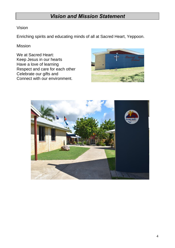# *Vision and Mission Statement*

#### Vision

Enriching spirits and educating minds of all at Sacred Heart, Yeppoon.

#### Mission

We at Sacred Heart: Keep Jesus in our hearts Have a love of learning Respect and care for each other Celebrate our gifts and Connect with our environment.



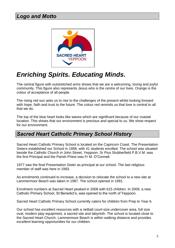

# *Enriching Spirits. Educating Minds.*

The central figure with outstretched arms shows that we are a welcoming, loving and joyful community. This figure also represents Jesus who is the centre of our lives. Orange is the colour of acceptance of all people.

The rising red sun asks us to rise to the challenges of the present whilst looking forward with hope, faith and trust to the future. The colour red reminds us that love is central to all that we do.

The top of the blue heart looks like waves which are significant because of our coastal location. This shows that our environment is precious and special to us. We show respect for our environment.

# *Sacred Heart Catholic Primary School History*

Sacred Heart Catholic Primary School is located on the Capricorn Coast. The Presentation Sisters established our School in 1958, with 41 students enrolled. The school was situated beside the Catholic Church in John Street, Yeppoon. Sr Pius Stubberfield P.B.V.M. was the first Principal and the Parish Priest was Fr M. O'Connell.

1977 saw the final Presentation Sister as principal at our school. The last religious member of staff was here in 1993.

As enrolments continued to increase, a decision to relocate the school to a new site at Lammermoor Beach was taken in 1987. The school opened in 1991.

Enrolment numbers at Sacred Heart peaked in 2008 with 615 children. In 2009, a new Catholic Primary School, St Benedict's, was opened to the north of Yeppoon.

Sacred Heart Catholic Primary School currently caters for children from Prep to Year 6.

Our school has excellent resources with a netball court-size undercover area, full size oval, modern play equipment, a sacred site and labyrinth. The school is located close to the Sacred Heart Church. Lammermoor Beach is within walking distance and provides excellent learning opportunities for our children.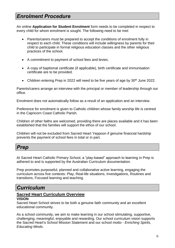# *Enrolment Procedure*

An online **Application for Student Enrolment** form needs to be completed in respect to every child for whom enrolment is sought. The following need to be met:

- Parents/carers must be prepared to accept the conditions of enrolment fully in respect to each child. These conditions will include willingness by parents for their child to participate in formal religious education classes and the other religious practices of the school.
- A commitment to payment of school fees and levies.
- A copy of baptismal certificate (if applicable), birth certificate and immunisation certificate are to be provided.
- Children entering Prep in 2022 will need to be five years of age by 30<sup>th</sup> June 2022.

Parents/carers arrange an interview with the principal or member of leadership through our office.

Enrolment does not automatically follow as a result of an application and an interview.

Preference for enrolment is given to Catholic children whose family worship life is centred in the Capricorn Coast Catholic Parish.

Children of other faiths are welcomed, providing there are places available and it has been established that the families will support the ethos of our school.

Children will not be excluded from Sacred Heart Yeppoon if genuine financial hardship prevents the payment of school fees in total or in part.

### *Prep*

At Sacred Heart Catholic Primary School, a "play-based" approach to learning in Prep is adhered to and is supported by the Australian Curriculum documentation.

Prep promotes purposeful, planned and collaborative active learning, engaging the curriculum across five contexts: Play, Real-life situations, Investigations, Routines and transitions, Focused learning and teaching.

# *Curriculum*

# **Sacred Heart Curriculum Overview**

#### **VISION**

Sacred Heart School strives to be both a genuine faith community and an excellent educational community.

As a school community, we aim to make learning in our school stimulating, supportive, challenging, meaningful, enjoyable and rewarding. Our school curriculum vision supports the Sacred Heart's School Mission Statement and our school motto - *Enriching Spirits, Educating Minds.*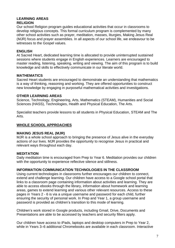#### **LEARNING AREAS RELIGION**

Our school Religion program guides educational activities that occur in classrooms to develop religious concepts. This formal curriculum program is complemented by many other school activities such as prayer, meditation, masses, liturgies, Making Jesus Real (MJR) focus and prayer assemblies. In all aspects of our school life, we endeavour to be witnesses to the Gospel values.

#### **ENGLISH**

At Sacred Heart, dedicated learning time is allocated to provide uninterrupted sustained sessions where students engage in English experiences. Learners are encouraged to master reading, listening, speaking, writing and viewing. The aim of this program is to build knowledge and skills to effectively communicate in our literate world.

#### **MATHEMATICS**

Sacred Heart students are encouraged to demonstrate an understanding that mathematics is a way of thinking, reasoning and working. They are offered opportunities to construct new knowledge by engaging in purposeful mathematical activities and investigations.

#### **OTHER LEARNING AREAS**

Science, Technology, Engineering, Arts, Mathematics (STEAM), Humanities and Social Sciences (HASS), Technologies, Health and Physical Education, The Arts.

Specialist teachers provide lessons to all students in Physical Education, STEAM and The Arts.

#### **WHOLE SCHOOL APPROACHES**

#### **MAKING JESUS REAL (MJR)**

MJR is a whole school approach to bringing the presence of Jesus alive in the everyday actions of our lives. MJR provides the opportunity to recognise Jesus in practical and relevant ways throughout each day.

#### **MEDITATION**

Daily meditation time is encouraged from Prep to Year 6. Meditation provides our children with the opportunity to experience reflective silence and stillness.

#### **INFORMATION COMMUNICATION TECHNOLOGIES IN THE CLASSROOM**

Using current technologies in classrooms further encourages our children to connect, extend and challenge learning. Our children have access to a Google school portal that links to a classroom page containing information about activities and learning. They are able to access ebooks through the library, information about homework and learning areas, games to extend learning and various other relevant resources. Access to these pages in Years 2 - 6 is via a unique username and password for each child, further ensuring the security of personal work. In Prep and Year 1, a group username and password is provided as children's transition to this mode of learning.

Children's work stored in Google products, including Gmail, Drive, Documents and Presentations are able to be accessed by teachers and security filters apply.

Our children have access to iPads, laptops and desktop computers in Prep to Year 2, while in Years 3–6 additional Chromebooks are available in each classroom. Interactive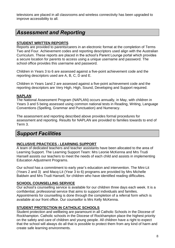televisions are placed in all classrooms and wireless connectivity has been upgraded to improve accessibility to all.

# *Assessment and Reporting*

#### **STUDENT WRITTEN REPORTS**

Reports are provided to parents/carers in an electronic format at the completion of Terms Two and Four. Achievement codes and reporting descriptors used align with the Australian Curriculum. These reports are placed in the school's Parent Lounge portal which provides a secure location for parents to access using a unique username and password. The school office provides this username and password.

Children in Years 3 to 6 are assessed against a five-point achievement code and the reporting descriptors used are A, B, C, D and E.

Children in Years 1and 2 are assessed against a five-point achievement code and the reporting descriptors are Very High, High, Sound, Developing and Support required.

#### **NAPLAN**

The National Assessment Program (NAPLAN) occurs annually, in May, with children in Years 3 and 5 being assessed using common national tests in Reading, Writing, Language Conventions (Spelling, Grammar and Punctuation) and Numeracy.

The assessment and reporting described above provides formal procedures for assessment and reporting. Results for NAPLAN are provided to families towards to end of Term 3.

# *Support Facilities*

#### **INCLUSIVE PRACTICES - LEARNING SUPPORT**

A team of dedicated teachers and teacher assistants have been allocated to the area of Learning Support. The Learning Support Team: Mrs Leonie McKenna and Mrs Trudi Hansell assists our teachers to meet the needs of each child and assists in implementing Education Adjustment Programs.

Our school has a commitment to early year's education and intervention. The Mini-Lit (Years 2 and 3) and Macq-Lit (Year 3 to 6) programs are provided by Mrs Michelle Baldwin and Mrs Trudi Hansell, for children who have identified reading difficulties.

#### **SCHOOL COUNSELLING SERVICE**

Our school's counselling service is available for our children three days each week. It is a confidential, professional service that aims to support individuals and families. Appointments for counselling is done through the completion of a referral form which is available at our front office. Our counsellor is Mrs Kelly McKenna.

#### **STUDENT PROTECTION IN CATHOLIC SCHOOLS**

Student protection and wellbeing are paramount in all Catholic Schools in the Diocese of Rockhampton. Catholic schools in the Diocese of Rockhampton place the highest priority on the safety and care of children and young people. All children have a right to expect that the school will always do all that is possible to protect them from any kind of harm and create safe learning environments.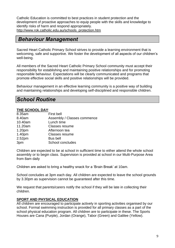Catholic Education is committed to best practices in student protection and the development of proactive approaches to equip people with the skills and knowledge to identify risks of harm and respond appropriately. [http://www.rok.catholic.edu.au/schools\\_protection.htm](http://www.rok.catholic.edu.au/schools_protection.htm)

# *Behaviour Management*

Sacred Heart Catholic Primary School strives to provide a learning environment that is welcoming, safe and supportive. We foster the development of all aspects of our children's well-being.

All members of the Sacred Heart Catholic Primary School community must accept their responsibility for establishing and maintaining positive relationships and for promoting responsible behaviour. Expectations will be clearly communicated and programs that promote effective social skills and positive relationships will be provided.

Behaviour management in an effective learning community is a positive way of building and maintaining relationships and developing self-disciplined and responsible children.

# *School Routine*

#### **THE SCHOOL DAY**:

| <b>First bell</b>           |
|-----------------------------|
| Assembly / Classes commence |
| Lunch time                  |
| <b>Classes resume</b>       |
| Afternoon tea               |
| <b>Classes resume</b>       |
| Bus bell                    |
| School concludes            |
|                             |

Children are expected to be at school in sufficient time to either attend the whole school assembly or to begin class. Supervision is provided at school in our Multi-Purpose Area from 8am daily

Children are asked to bring a healthy snack for a 'Brain Break' at 10am.

School concludes at 3pm each day. All children are expected to leave the school grounds by 3.30pm as supervision cannot be guaranteed after this time.

We request that parents/carers notify the school if they will be late in collecting their children.

#### **SPORT AND PHYSICAL EDUCATION**

All children are encouraged to participate actively in sporting activities organised by our school. Formal swimming instruction is provided for all primary classes as a part of the school physical education program. All children are to participate in these. The Sports Houses are Cana (Purple), Jordan (Orange), Tabor (Green) and Galilee (Yellow).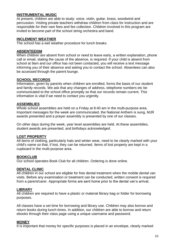#### **INSTRUMENTAL MUSIC**

At present, children are able to study: voice, violin, guitar, brass, woodwind and percussion. Visiting private teachers withdraw children from class for instruction and are responsible for their own fees and fee collection. Children involved in this program are invited to become part of the school string orchestra and band.

#### **INCLEMENT WEATHER**

The school has a wet weather procedure for lunch breaks.

#### **ABSENTEEISM**

When children are absent from school or need to leave early, a written explanation, phone call or email, stating the cause of the absence, is required. If your child is absent from school at 9am and our office has not been contacted, you will receive a text message informing you of their absence and asking you to contact the school. Absentees can also be accessed through the parent lounge.

#### **SCHOOL RECORDS**

Information, given by parents when children are enrolled, forms the basis of our student and family records. We ask that any changes of address, telephone numbers etc be communicated to the school office promptly so that our records remain current. This information is vital if we need to contact you urgently.

#### **ASSEMBLIES**

Whole school assemblies are held on a Friday at 8:40 am in the multi-purpose area. Important messages for the week are communicated, the National Anthem is sung, MJR awards presented and a prayer assembly is presented by one of our classes.

On other days during the week, year level assemblies are held. At these assemblies, student awards are presented, and birthdays acknowledged.

#### **LOST PROPERTY**

All items of clothing, particularly hats and winter wear, need to be clearly marked with your child's name so that, if lost, they can be returned. Items of lost property are kept in a cupboard in the multi-purpose area.

#### **BOOKCLUB**

Our school operates Book Club for all children. Ordering is done online.

#### **DENTAL CLINIC**

All children in our school are eligible for free dental treatment when the mobile dental van visits. Before any examination or treatment can be conducted, written consent is required from a parent/carer. Appropriate forms are sent home prior to the dental van's arrival.

#### **LIBRARY**

All children are required to have a plastic or material library bag or folder for borrowing purposes.

All classes have a set time for borrowing and library use. Children may also borrow and return books during lunch times. In addition, our children are able to borrow and return ebooks through their class page using a unique username and password.

#### **MONEY**

It is important that money for specific purposes is placed in an envelope, clearly marked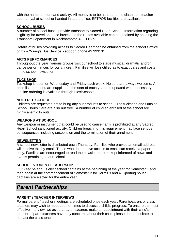with the name, amount and activity. All money is to be handed to the classroom teacher upon arrival at school or handed in at the office. EFTPOS facilities are available.

#### **SCHOOL BUSES**

A number of school buses provide transport to Sacred Heart School. Information regarding eligibility for travel on these buses and the routes available can be obtained by phoning the Transport Department in Rockhampton 49 311539.

Details of buses providing access to Sacred Heart can be obtained from the school's office or from Young's Bus Service Yeppoon phone 49 393131.

#### **ARTS PERFORMANCES**

Throughout the year, various groups visit our school to stage musical, dramatic and/or dance performances for our children. Families will be notified as to exact dates and costs in the school newsletter.

#### **TUCKSHOP**

Tuckshop is open on Wednesday and Friday each week. Helpers are always welcome. A price list and menu are supplied at the start of each year and updated when necessary. On-line ordering is available through FlexiSchools.

#### **NUT FREE SCHOOL**

Children are requested not to bring any nut products to school. The tuckshop and Outside School Hours Care are also nut free. A number of children enrolled at the school are highly allergic to nuts.

#### **WEAPONS AT SCHOOL**

Any weapon or instrument that could be used to cause harm is prohibited at any Sacred Heart School sanctioned activity. Children breaching this requirement may face serious consequences including suspension and the termination of their enrolment.

#### **NEWSLETTER**

A school newsletter is distributed each Thursday. Families who provide an email address will receive this by email. Those who do not have access to email can receive a paper copy. Families are encouraged to read the newsletter, to be kept informed of news and events pertaining to our school.

#### **SCHOOL STUDENT LEADERSHIP**

Our Year 5s and 6s elect school captains at the beginning of the year for Semester 1 and then again at the commencement of Semester 2 for Terms 3 and 4. Sporting house captains are elected for the entire year.

# *Parent Partnerships*

#### **PARENT / TEACHER INTERVIEWS**

Formal parent / teacher meetings are scheduled once each year. Parents/carers or class teachers may wish to meet at other times to discuss a child's progress. To ensure the most effective interview, we ask that parents/carers make an appointment with their child's teacher. If parents/carers have any concerns about their child, please do not hesitate to contact the class teacher.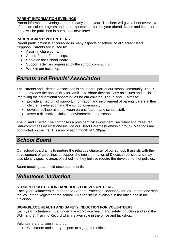#### **PARENT INFORMATION EVENINGS**

Parent information evenings are held early in the year. Teachers will give a brief overview of the curriculum program and their expectations for the year ahead. Dates and times for these will be published in our school newsletter.

#### **PARENT/CARER VOLUNTEERS**

Parent participation is encouraged in many aspects of school life at Sacred Heart Yeppoon. Parents are invited to:

- Assist in classrooms.
- Attend P. and F. meetings.
- Serve on the School Board.
- Support activities organised by the school community.
- Work in our tuckshop.

### *Parents and Friends' Association*

The Parents and Friends' Association is an integral part of our school community. The P. and F. provides the opportunity for families to share their opinions on issues and assist in improving the educational opportunities for our children. The P. and F. aims to:

- provide a medium of support, information and involvement of parents/carers in their children's education and the school community.
- develop collaboration between parents/carers and school staff.
- foster a distinctive Christian environment in the school.

The P. and F. executive comprises a president, vice-president, secretary and treasurer. Sub-committees do exist and include our Heart Parents (friendship group). Meetings are conducted on the first Tuesday of each month at 5.30pm.

# *School Board*

Our school board aims to nurture the religious character of our school. It assists with the development of guidelines to support the implementation of Diocesan policies and may also identify specific areas of school life they believe require the development of policies.

Board meetings are held once each month.

# *Volunteers' Induction*

#### **STUDENT PROTECTION HANDBOOK FOR VOLUNTEERS**

Each year, volunteers must read the Student Protection Handbook for Volunteers and sign the Volunteer Register at the school. This register is available in the office and in the tuckshop.

#### **WORKPLACE HEALTH AND SAFETY INDUCTION FOR VOLUNTEERS**

Each year, volunteers must undertake workplace health and safety induction and sign the W.H. and S. Training Record which is available in the office and tuckshop.

Volunteers are to sign in and out:

• Classroom and library helpers to sign at the office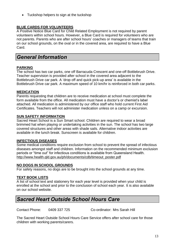• Tuckshop helpers to sign at the tuckshop

#### **BLUE CARDS FOR VOLUNTEERS**

A Positive Notice Blue Card for Child Related Employment is not required by parent volunteers within school hours. However, a Blue Card is required for volunteers who are not parents. Parents who are after school hours' coaches or managers of teams that train on our school grounds, on the oval or in the covered area, are required to have a Blue Card.

# *General Information*

#### **PARKING**

The school has two car parks, one off Barracuda Crescent and one-off Bottlebrush Drive. Teacher supervision is provided after school in the covered area adjacent to the Bottlebrush Drive car park. A 'drop off and quick pick-up area' is available in the Bottlebrush Drive car park. A maximum speed of 10 km/hr is reinforced in both car parks.

#### **MEDICATION**

Parents requesting that children are to receive medication at school must complete the form available from the office. All medication must have a doctor's or chemist's label attached. All medication is administered by our office staff who hold current First Aid Certificates. Teachers will not administer medication unless on a camp or excursion.

#### **SUN SAFETY INFORMATION**

Sacred Heart School is a Sun Smart school. Children are required to wear a broad brimmed hat when playing or undertaking activities in the sun. The school has two large covered structures and other areas with shade sails. Alternative indoor activities are available in the lunch break. Sunscreen is available for children.

#### **INFECTIOUS DISEASES**

Some medical conditions require exclusion from school to prevent the spread of infectious diseases amongst staff and children. Information on the recommended minimum exclusion periods or "time out" for infectious conditions is available from Queensland Health. [http://www.health.qld.gov.au/ph/documents/cdb/timeout\\_poster.pdf](http://www.health.qld.gov.au/ph/documents/cdb/timeout_poster.pdf)

#### **NO DOGS IN SCHOOL GROUNDS**

For safety reasons, no dogs are to be brought into the school grounds at any time.

#### **TEXT BOOK LISTS**

A list of school text and stationery for each year level is provided when your child is enrolled at the school and prior to the conclusion of school each year. It is also available on our school website.

# *Sacred Heart Outside School Hours Care*

Contact Phone: 0409 337 725 Co-ordinator: Mrs Sarah Hill

The Sacred Heart Outside School Hours Care Service offers after school care for those children with working parents/carers.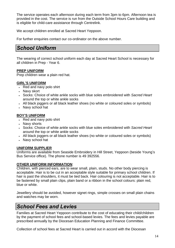The service operates each afternoon during each term from 3pm to 6pm. Afternoon tea is provided in the cost. The service is run from the Outside School Hours Care building and is eligible for child-care assistance through Centrelink.

We accept children enrolled at Sacred Heart Yeppoon.

For further enquiries contact our co-ordinator on the above number.

# *School Uniform*

The wearing of correct school uniform each day at Sacred Heart School is necessary for all children in Prep - Year 6.

#### **PREP UNIFORM**

Prep children wear a plain red hat.

#### **GIRL'S UNIFORM**

- Red and navy polo shirt
- Navy skort
- Socks: Choice of white ankle socks with blue soles embroidered with *Sacred Heart* around the top or white ankle socks
- All black joggers or all black leather shoes (no white or coloured soles or symbols)
- Navy school hat

#### **BOY'S UNIFORM**

- $\overline{\cdot}$  Red and navy polo shirt
- Navy shorts
- Socks: Choice of white ankle socks with blue soles embroidered with *Sacred Heart* around the top or white ankle socks
- All black joggers or all black leather shoes (no white or coloured soles or symbols)
- Navy school hat

#### **UNIFORM SUPPLIER**

Uniforms are available from Seaside Embroidery in Hill Street, Yeppoon (beside Young's Bus Service office). The phone number is 49 392556.

#### **OTHER UNIFORM INFORMATION**:

Children, with pierced ears, are to wear small, plain, studs. No other body piercing is acceptable. Hair is to be cut in an acceptable style suitable for primary school children. If hair is past the shoulders, it must be tied back. Hair colouring is not acceptable. Hair is to be fastened by small plain clips, plain band or a ribbon in the school colours: plain red, blue or white.

Jewellery should be avoided, however signet rings, simple crosses on small plain chains and watches may be worn.

# *School Fees and Levies*

Families at Sacred Heart Yeppoon contribute to the cost of educating their child/children by the payment of school fees and school-based levies. The fees and levies payable are prescribed annually by the Diocesan Education Planning and Finance Committee.

Collection of school fees at Sacred Heart is carried out in accord with the Diocesan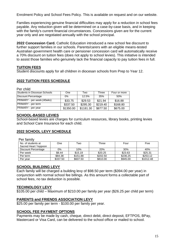Enrolment Policy and School Fees Policy. This is available on request and on our website.

Families experiencing genuine financial difficulties may apply for a reduction in school fees payable. Any reduction given will be determined on a case-by-case basis, and in keeping with the family's current financial circumstances. Concessions given are for the current year only and are negotiated annually with the school principal.

**2022 Concession Card.** Catholic Education introduced a new school fee discount to further support families in our schools. Parents/carers with an eligible means-tested Australian government health care or pensioner concession card will automatically receive a 70% discount on tuition fees (does not apply to school levies). This initiative is intended to assist those families who genuinely lack the financial capacity to pay tuition fees in full.

#### **TUITION FEES**

Student discounts apply for all children in diocesan schools from Prep to Year 12.

#### **2022 TUITION FEES SCHEDULE**

Per child Students in Diocesan Schools (Students in One Two Three Four or more Discount Percentage **12.5%** 12.5% 35% 50% PRIMARY - per week (40wks) 6 633.75 6 \$29.53 6 \$21.94 6 \$16.88 PRIMARY - per term \$337.50 \$295.30 \$219.40 \$168.80 PRIMARY - per year <br>\$1350.00 \$1181.30 \$877.50 \$675.00

#### **SCHOOL-BASED LEVIES**

School-based levies are charges for curriculum resources, library books, printing levies and School Care Insurance for each child.

#### **2022 SCHOOL LEVY SCHEDULE**

Per family

| No. of students at   | One      | Two      | Three    | Four     | Five      |
|----------------------|----------|----------|----------|----------|-----------|
| Sacred Heart Yeppoon |          |          |          |          |           |
| Discount Percentage  | 0%       | 10%      | 20%      | 30%      | 40%       |
| Per week             | \$8.44   | \$15.19  | \$20.25  | \$23.63  | \$25.31   |
| Per term             | \$84.38  | \$151.88 | \$202.50 | \$236.25 | \$253.12  |
| Per vear             | \$337.50 | \$607.50 | \$810.00 | \$945.00 | \$1012.48 |

#### **SCHOOL BUILDING LEVY**

Each family will be charged a building levy of \$98.50 per term (\$394.00 per year) in conjunction with normal school fee billings. As this amount forms a collectable part of school fees, no tax deduction is possible.

#### **TECHNOLOGY LEVY**

\$105.00 per child – Maximum of \$210.00 per family per year (\$26.25 per child per term)

#### **PARENTS and FRIENDS ASSOCIATION LEVY**

\$25.00 per family per term - \$100.00 per family per year.

#### **SCHOOL FEE PAYMENT OPTIONS**

Payments may be made by cash, cheque, direct debit, direct deposit, EFTPOS, BPay, Mastercard or Visa Card, can be delivered to the school office or mailed to school.